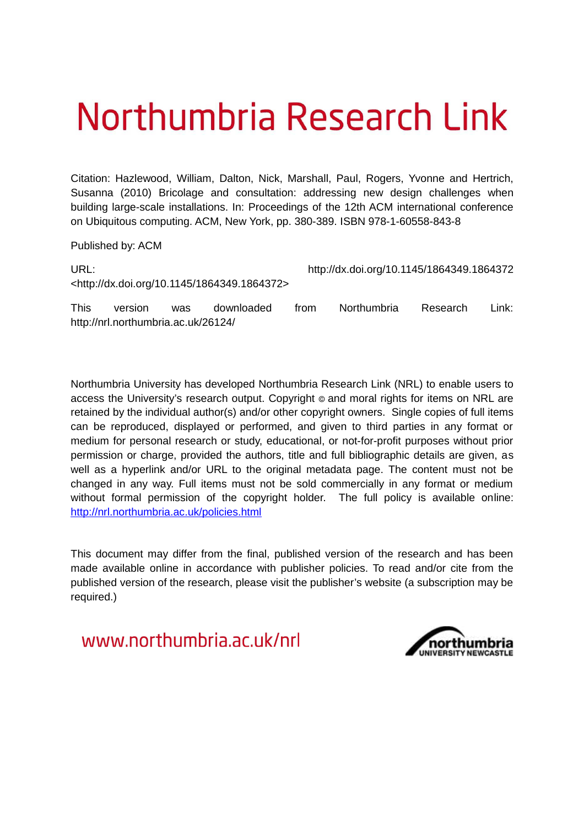# Northumbria Research Link

Citation: Hazlewood, William, Dalton, Nick, Marshall, Paul, Rogers, Yvonne and Hertrich, Susanna (2010) Bricolage and consultation: addressing new design challenges when building large-scale installations. In: Proceedings of the 12th ACM international conference on Ubiquitous computing. ACM, New York, pp. 380-389. ISBN 978-1-60558-843-8

Published by: ACM

| URL:        |        |       |                                                             |      | http://dx.doi.org/10.1145/1864349.1864372 |           |       |  |
|-------------|--------|-------|-------------------------------------------------------------|------|-------------------------------------------|-----------|-------|--|
|             |        |       | <http: 10.1145="" 1864349.1864372="" dx.doi.org=""></http:> |      |                                           |           |       |  |
| <b>Thio</b> | uncinn | 11100 | downloadad                                                  | from | Northumbrio                               | Docooroh. | inlet |  |

This version was downloaded from Northumbria Research Link: http://nrl.northumbria.ac.uk/26124/

Northumbria University has developed Northumbria Research Link (NRL) to enable users to access the University's research output. Copyright  $\circ$  and moral rights for items on NRL are retained by the individual author(s) and/or other copyright owners. Single copies of full items can be reproduced, displayed or performed, and given to third parties in any format or medium for personal research or study, educational, or not-for-profit purposes without prior permission or charge, provided the authors, title and full bibliographic details are given, as well as a hyperlink and/or URL to the original metadata page. The content must not be changed in any way. Full items must not be sold commercially in any format or medium without formal permission of the copyright holder. The full policy is available online: <http://nrl.northumbria.ac.uk/policies.html>

This document may differ from the final, published version of the research and has been made available online in accordance with publisher policies. To read and/or cite from the published version of the research, please visit the publisher's website (a subscription may be required.)

www.northumbria.ac.uk/nrl

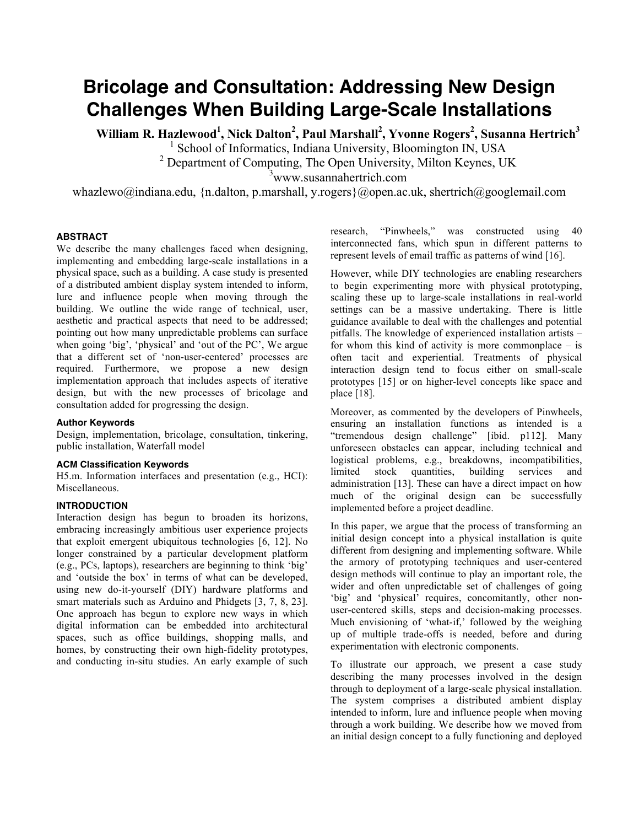# **Bricolage and Consultation: Addressing New Design Challenges When Building Large-Scale Installations**

**William R. Hazlewood<sup>1</sup> , Nick Dalton<sup>2</sup> , Paul Marshall<sup>2</sup> , Yvonne Rogers<sup>2</sup> , Susanna Hertrich<sup>3</sup>**

<sup>1</sup> School of Informatics, Indiana University, Bloomington IN, USA

<sup>2</sup> Department of Computing, The Open University, Milton Keynes, UK

<sup>3</sup>www.susannahertrich.com

whazlewo@indiana.edu, {n.dalton, p.marshall, y.rogers}@open.ac.uk, shertrich@googlemail.com

# **ABSTRACT**

We describe the many challenges faced when designing, implementing and embedding large-scale installations in a physical space, such as a building. A case study is presented of a distributed ambient display system intended to inform, lure and influence people when moving through the building. We outline the wide range of technical, user, aesthetic and practical aspects that need to be addressed; pointing out how many unpredictable problems can surface when going 'big', 'physical' and 'out of the PC', We argue that a different set of 'non-user-centered' processes are required. Furthermore, we propose a new design implementation approach that includes aspects of iterative design, but with the new processes of bricolage and consultation added for progressing the design.

#### **Author Keywords**

Design, implementation, bricolage, consultation, tinkering, public installation, Waterfall model

#### **ACM Classification Keywords**

H5.m. Information interfaces and presentation (e.g., HCI): Miscellaneous.

# **INTRODUCTION**

Interaction design has begun to broaden its horizons, embracing increasingly ambitious user experience projects that exploit emergent ubiquitous technologies [6, 12]. No longer constrained by a particular development platform (e.g., PCs, laptops), researchers are beginning to think 'big' and 'outside the box' in terms of what can be developed, using new do-it-yourself (DIY) hardware platforms and smart materials such as Arduino and Phidgets [3, 7, 8, 23]. One approach has begun to explore new ways in which digital information can be embedded into architectural spaces, such as office buildings, shopping malls, and homes, by constructing their own high-fidelity prototypes, and conducting in-situ studies. An early example of such

research, "Pinwheels," was constructed using 40 interconnected fans, which spun in different patterns to represent levels of email traffic as patterns of wind [16].

However, while DIY technologies are enabling researchers to begin experimenting more with physical prototyping, scaling these up to large-scale installations in real-world settings can be a massive undertaking. There is little guidance available to deal with the challenges and potential pitfalls. The knowledge of experienced installation artists – for whom this kind of activity is more commonplace – is often tacit and experiential. Treatments of physical interaction design tend to focus either on small-scale prototypes [15] or on higher-level concepts like space and place [18].

Moreover, as commented by the developers of Pinwheels, ensuring an installation functions as intended is a "tremendous design challenge" [ibid. p112]. Many unforeseen obstacles can appear, including technical and logistical problems, e.g., breakdowns, incompatibilities, limited stock quantities, building services and administration [13]. These can have a direct impact on how much of the original design can be successfully implemented before a project deadline.

In this paper, we argue that the process of transforming an initial design concept into a physical installation is quite different from designing and implementing software. While the armory of prototyping techniques and user-centered design methods will continue to play an important role, the wider and often unpredictable set of challenges of going 'big' and 'physical' requires, concomitantly, other nonuser-centered skills, steps and decision-making processes. Much envisioning of 'what-if,' followed by the weighing up of multiple trade-offs is needed, before and during experimentation with electronic components.

To illustrate our approach, we present a case study describing the many processes involved in the design through to deployment of a large-scale physical installation. The system comprises a distributed ambient display intended to inform, lure and influence people when moving through a work building. We describe how we moved from an initial design concept to a fully functioning and deployed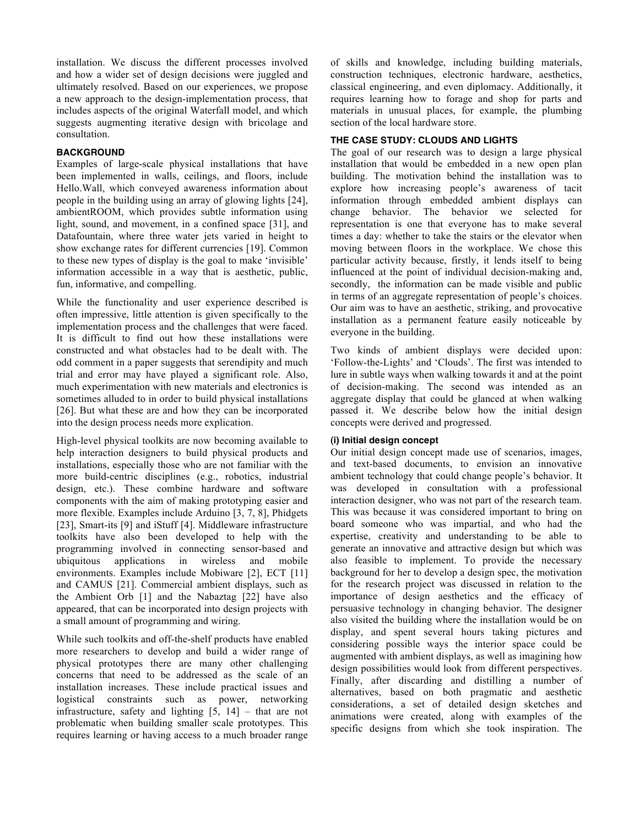installation. We discuss the different processes involved and how a wider set of design decisions were juggled and ultimately resolved. Based on our experiences, we propose a new approach to the design-implementation process, that includes aspects of the original Waterfall model, and which suggests augmenting iterative design with bricolage and consultation.

# **BACKGROUND**

Examples of large-scale physical installations that have been implemented in walls, ceilings, and floors, include Hello.Wall, which conveyed awareness information about people in the building using an array of glowing lights [24], ambientROOM, which provides subtle information using light, sound, and movement, in a confined space [31], and Datafountain, where three water jets varied in height to show exchange rates for different currencies [19]. Common to these new types of display is the goal to make 'invisible' information accessible in a way that is aesthetic, public, fun, informative, and compelling.

While the functionality and user experience described is often impressive, little attention is given specifically to the implementation process and the challenges that were faced. It is difficult to find out how these installations were constructed and what obstacles had to be dealt with. The odd comment in a paper suggests that serendipity and much trial and error may have played a significant role. Also, much experimentation with new materials and electronics is sometimes alluded to in order to build physical installations [26]. But what these are and how they can be incorporated into the design process needs more explication.

High-level physical toolkits are now becoming available to help interaction designers to build physical products and installations, especially those who are not familiar with the more build-centric disciplines (e.g., robotics, industrial design, etc.). These combine hardware and software components with the aim of making prototyping easier and more flexible. Examples include Arduino [3, 7, 8], Phidgets [23], Smart-its [9] and iStuff [4]. Middleware infrastructure toolkits have also been developed to help with the programming involved in connecting sensor-based and ubiquitous applications in wireless and mobile environments. Examples include Mobiware [2], ECT [11] and CAMUS [21]. Commercial ambient displays, such as the Ambient Orb [1] and the Nabaztag [22] have also appeared, that can be incorporated into design projects with a small amount of programming and wiring.

While such toolkits and off-the-shelf products have enabled more researchers to develop and build a wider range of physical prototypes there are many other challenging concerns that need to be addressed as the scale of an installation increases. These include practical issues and logistical constraints such as power, networking infrastructure, safety and lighting [5, 14] – that are not problematic when building smaller scale prototypes. This requires learning or having access to a much broader range

of skills and knowledge, including building materials, construction techniques, electronic hardware, aesthetics, classical engineering, and even diplomacy. Additionally, it requires learning how to forage and shop for parts and materials in unusual places, for example, the plumbing section of the local hardware store.

# **THE CASE STUDY: CLOUDS AND LIGHTS**

The goal of our research was to design a large physical installation that would be embedded in a new open plan building. The motivation behind the installation was to explore how increasing people's awareness of tacit information through embedded ambient displays can change behavior. The behavior we selected for representation is one that everyone has to make several times a day: whether to take the stairs or the elevator when moving between floors in the workplace. We chose this particular activity because, firstly, it lends itself to being influenced at the point of individual decision-making and, secondly, the information can be made visible and public in terms of an aggregate representation of people's choices. Our aim was to have an aesthetic, striking, and provocative installation as a permanent feature easily noticeable by everyone in the building.

Two kinds of ambient displays were decided upon: 'Follow-the-Lights' and 'Clouds'. The first was intended to lure in subtle ways when walking towards it and at the point of decision-making. The second was intended as an aggregate display that could be glanced at when walking passed it. We describe below how the initial design concepts were derived and progressed.

# **(i) Initial design concept**

Our initial design concept made use of scenarios, images, and text-based documents, to envision an innovative ambient technology that could change people's behavior. It was developed in consultation with a professional interaction designer, who was not part of the research team. This was because it was considered important to bring on board someone who was impartial, and who had the expertise, creativity and understanding to be able to generate an innovative and attractive design but which was also feasible to implement. To provide the necessary background for her to develop a design spec, the motivation for the research project was discussed in relation to the importance of design aesthetics and the efficacy of persuasive technology in changing behavior. The designer also visited the building where the installation would be on display, and spent several hours taking pictures and considering possible ways the interior space could be augmented with ambient displays, as well as imagining how design possibilities would look from different perspectives. Finally, after discarding and distilling a number of alternatives, based on both pragmatic and aesthetic considerations, a set of detailed design sketches and animations were created, along with examples of the specific designs from which she took inspiration. The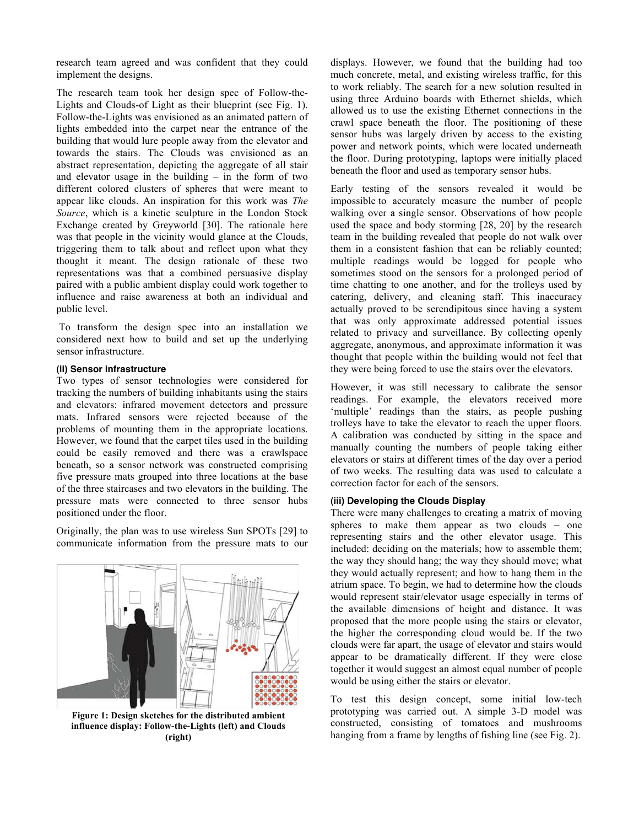research team agreed and was confident that they could implement the designs.

The research team took her design spec of Follow-the-Lights and Clouds-of Light as their blueprint (see Fig. 1). Follow-the-Lights was envisioned as an animated pattern of lights embedded into the carpet near the entrance of the building that would lure people away from the elevator and towards the stairs. The Clouds was envisioned as an abstract representation, depicting the aggregate of all stair and elevator usage in the building – in the form of two different colored clusters of spheres that were meant to appear like clouds. An inspiration for this work was *The Source*, which is a kinetic sculpture in the London Stock Exchange created by Greyworld [30]. The rationale here was that people in the vicinity would glance at the Clouds, triggering them to talk about and reflect upon what they thought it meant. The design rationale of these two representations was that a combined persuasive display paired with a public ambient display could work together to influence and raise awareness at both an individual and public level.

To transform the design spec into an installation we considered next how to build and set up the underlying sensor infrastructure.

#### **(ii) Sensor infrastructure**

Two types of sensor technologies were considered for tracking the numbers of building inhabitants using the stairs and elevators: infrared movement detectors and pressure mats. Infrared sensors were rejected because of the problems of mounting them in the appropriate locations. However, we found that the carpet tiles used in the building could be easily removed and there was a crawlspace beneath, so a sensor network was constructed comprising five pressure mats grouped into three locations at the base of the three staircases and two elevators in the building. The pressure mats were connected to three sensor hubs positioned under the floor.

Originally, the plan was to use wireless Sun SPOTs [29] to communicate information from the pressure mats to our



**Figure 1: Design sketches for the distributed ambient influence display: Follow-the-Lights (left) and Clouds (right)**

displays. However, we found that the building had too much concrete, metal, and existing wireless traffic, for this to work reliably. The search for a new solution resulted in using three Arduino boards with Ethernet shields, which allowed us to use the existing Ethernet connections in the crawl space beneath the floor. The positioning of these sensor hubs was largely driven by access to the existing power and network points, which were located underneath the floor. During prototyping, laptops were initially placed beneath the floor and used as temporary sensor hubs.

Early testing of the sensors revealed it would be impossible to accurately measure the number of people walking over a single sensor. Observations of how people used the space and body storming [28, 20] by the research team in the building revealed that people do not walk over them in a consistent fashion that can be reliably counted; multiple readings would be logged for people who sometimes stood on the sensors for a prolonged period of time chatting to one another, and for the trolleys used by catering, delivery, and cleaning staff. This inaccuracy actually proved to be serendipitous since having a system that was only approximate addressed potential issues related to privacy and surveillance. By collecting openly aggregate, anonymous, and approximate information it was thought that people within the building would not feel that they were being forced to use the stairs over the elevators.

However, it was still necessary to calibrate the sensor readings. For example, the elevators received more 'multiple' readings than the stairs, as people pushing trolleys have to take the elevator to reach the upper floors. A calibration was conducted by sitting in the space and manually counting the numbers of people taking either elevators or stairs at different times of the day over a period of two weeks. The resulting data was used to calculate a correction factor for each of the sensors.

## **(iii) Developing the Clouds Display**

There were many challenges to creating a matrix of moving spheres to make them appear as two clouds – one representing stairs and the other elevator usage. This included: deciding on the materials; how to assemble them; the way they should hang; the way they should move; what they would actually represent; and how to hang them in the atrium space. To begin, we had to determine how the clouds would represent stair/elevator usage especially in terms of the available dimensions of height and distance. It was proposed that the more people using the stairs or elevator, the higher the corresponding cloud would be. If the two clouds were far apart, the usage of elevator and stairs would appear to be dramatically different. If they were close together it would suggest an almost equal number of people would be using either the stairs or elevator.

To test this design concept, some initial low-tech prototyping was carried out. A simple 3-D model was constructed, consisting of tomatoes and mushrooms hanging from a frame by lengths of fishing line (see Fig. 2).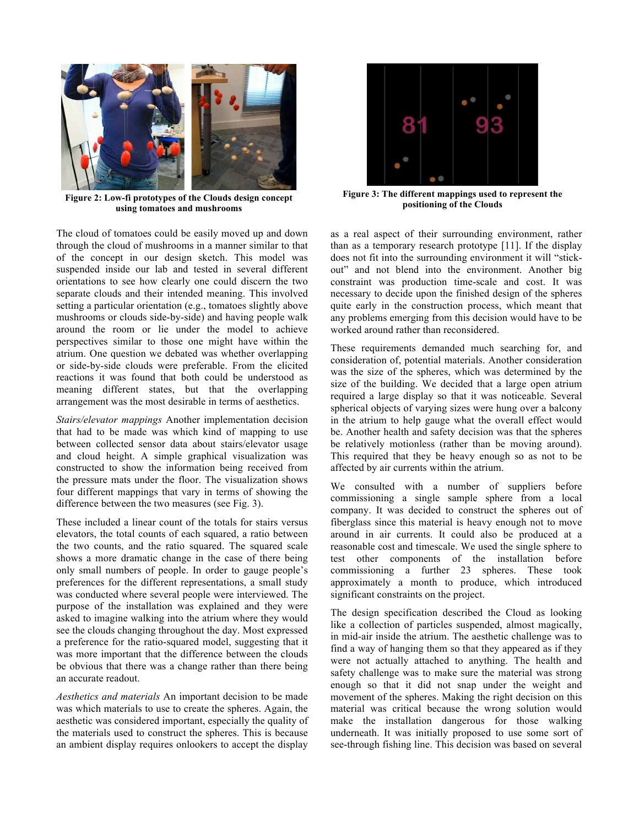

**Figure 2: Low-fi prototypes of the Clouds design concept using tomatoes and mushrooms**

The cloud of tomatoes could be easily moved up and down through the cloud of mushrooms in a manner similar to that of the concept in our design sketch. This model was suspended inside our lab and tested in several different orientations to see how clearly one could discern the two separate clouds and their intended meaning. This involved setting a particular orientation (e.g., tomatoes slightly above mushrooms or clouds side-by-side) and having people walk around the room or lie under the model to achieve perspectives similar to those one might have within the atrium. One question we debated was whether overlapping or side-by-side clouds were preferable. From the elicited reactions it was found that both could be understood as meaning different states, but that the overlapping arrangement was the most desirable in terms of aesthetics.

*Stairs/elevator mappings* Another implementation decision that had to be made was which kind of mapping to use between collected sensor data about stairs/elevator usage and cloud height. A simple graphical visualization was constructed to show the information being received from the pressure mats under the floor. The visualization shows four different mappings that vary in terms of showing the difference between the two measures (see Fig. 3).

These included a linear count of the totals for stairs versus elevators, the total counts of each squared, a ratio between the two counts, and the ratio squared. The squared scale shows a more dramatic change in the case of there being only small numbers of people. In order to gauge people's preferences for the different representations, a small study was conducted where several people were interviewed. The purpose of the installation was explained and they were asked to imagine walking into the atrium where they would see the clouds changing throughout the day. Most expressed a preference for the ratio-squared model, suggesting that it was more important that the difference between the clouds be obvious that there was a change rather than there being an accurate readout.

*Aesthetics and materials* An important decision to be made was which materials to use to create the spheres. Again, the aesthetic was considered important, especially the quality of the materials used to construct the spheres. This is because an ambient display requires onlookers to accept the display



**Figure 3: The different mappings used to represent the positioning of the Clouds**

as a real aspect of their surrounding environment, rather than as a temporary research prototype [11]. If the display does not fit into the surrounding environment it will "stickout" and not blend into the environment. Another big constraint was production time-scale and cost. It was necessary to decide upon the finished design of the spheres quite early in the construction process, which meant that any problems emerging from this decision would have to be worked around rather than reconsidered.

These requirements demanded much searching for, and consideration of, potential materials. Another consideration was the size of the spheres, which was determined by the size of the building. We decided that a large open atrium required a large display so that it was noticeable. Several spherical objects of varying sizes were hung over a balcony in the atrium to help gauge what the overall effect would be. Another health and safety decision was that the spheres be relatively motionless (rather than be moving around). This required that they be heavy enough so as not to be affected by air currents within the atrium.

We consulted with a number of suppliers before commissioning a single sample sphere from a local company. It was decided to construct the spheres out of fiberglass since this material is heavy enough not to move around in air currents. It could also be produced at a reasonable cost and timescale. We used the single sphere to test other components of the installation before commissioning a further 23 spheres. These took approximately a month to produce, which introduced significant constraints on the project.

The design specification described the Cloud as looking like a collection of particles suspended, almost magically, in mid-air inside the atrium. The aesthetic challenge was to find a way of hanging them so that they appeared as if they were not actually attached to anything. The health and safety challenge was to make sure the material was strong enough so that it did not snap under the weight and movement of the spheres. Making the right decision on this material was critical because the wrong solution would make the installation dangerous for those walking underneath. It was initially proposed to use some sort of see-through fishing line. This decision was based on several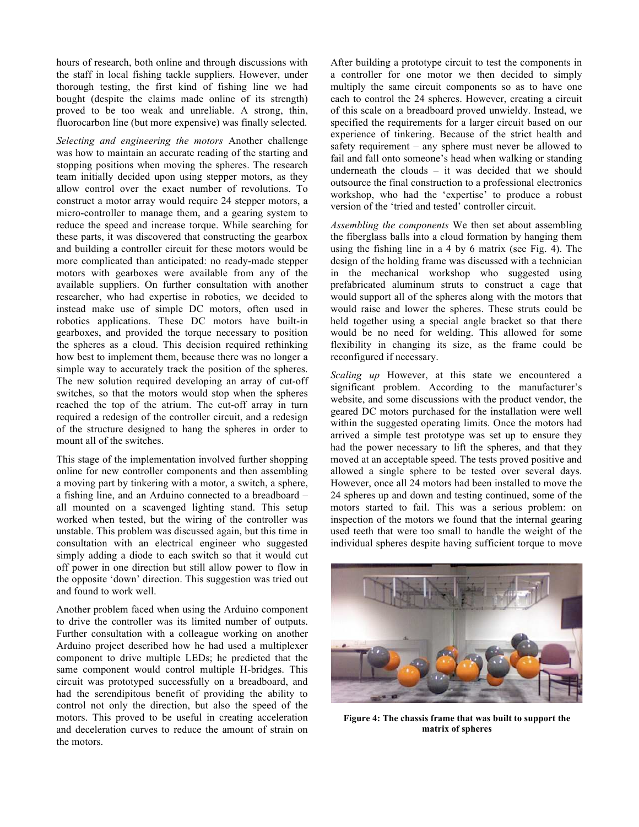hours of research, both online and through discussions with the staff in local fishing tackle suppliers. However, under thorough testing, the first kind of fishing line we had bought (despite the claims made online of its strength) proved to be too weak and unreliable. A strong, thin, fluorocarbon line (but more expensive) was finally selected.

*Selecting and engineering the motors* Another challenge was how to maintain an accurate reading of the starting and stopping positions when moving the spheres. The research team initially decided upon using stepper motors, as they allow control over the exact number of revolutions. To construct a motor array would require 24 stepper motors, a micro-controller to manage them, and a gearing system to reduce the speed and increase torque. While searching for these parts, it was discovered that constructing the gearbox and building a controller circuit for these motors would be more complicated than anticipated: no ready-made stepper motors with gearboxes were available from any of the available suppliers. On further consultation with another researcher, who had expertise in robotics, we decided to instead make use of simple DC motors, often used in robotics applications. These DC motors have built-in gearboxes, and provided the torque necessary to position the spheres as a cloud. This decision required rethinking how best to implement them, because there was no longer a simple way to accurately track the position of the spheres. The new solution required developing an array of cut-off switches, so that the motors would stop when the spheres reached the top of the atrium. The cut-off array in turn required a redesign of the controller circuit, and a redesign of the structure designed to hang the spheres in order to mount all of the switches.

This stage of the implementation involved further shopping online for new controller components and then assembling a moving part by tinkering with a motor, a switch, a sphere, a fishing line, and an Arduino connected to a breadboard – all mounted on a scavenged lighting stand. This setup worked when tested, but the wiring of the controller was unstable. This problem was discussed again, but this time in consultation with an electrical engineer who suggested simply adding a diode to each switch so that it would cut off power in one direction but still allow power to flow in the opposite 'down' direction. This suggestion was tried out and found to work well.

Another problem faced when using the Arduino component to drive the controller was its limited number of outputs. Further consultation with a colleague working on another Arduino project described how he had used a multiplexer component to drive multiple LEDs; he predicted that the same component would control multiple H-bridges. This circuit was prototyped successfully on a breadboard, and had the serendipitous benefit of providing the ability to control not only the direction, but also the speed of the motors. This proved to be useful in creating acceleration and deceleration curves to reduce the amount of strain on the motors.

After building a prototype circuit to test the components in a controller for one motor we then decided to simply multiply the same circuit components so as to have one each to control the 24 spheres. However, creating a circuit of this scale on a breadboard proved unwieldy. Instead, we specified the requirements for a larger circuit based on our experience of tinkering. Because of the strict health and safety requirement – any sphere must never be allowed to fail and fall onto someone's head when walking or standing underneath the clouds – it was decided that we should outsource the final construction to a professional electronics workshop, who had the 'expertise' to produce a robust version of the 'tried and tested' controller circuit.

*Assembling the components* We then set about assembling the fiberglass balls into a cloud formation by hanging them using the fishing line in a 4 by 6 matrix (see Fig. 4). The design of the holding frame was discussed with a technician in the mechanical workshop who suggested using prefabricated aluminum struts to construct a cage that would support all of the spheres along with the motors that would raise and lower the spheres. These struts could be held together using a special angle bracket so that there would be no need for welding. This allowed for some flexibility in changing its size, as the frame could be reconfigured if necessary.

*Scaling up* However, at this state we encountered a significant problem. According to the manufacturer's website, and some discussions with the product vendor, the geared DC motors purchased for the installation were well within the suggested operating limits. Once the motors had arrived a simple test prototype was set up to ensure they had the power necessary to lift the spheres, and that they moved at an acceptable speed. The tests proved positive and allowed a single sphere to be tested over several days. However, once all 24 motors had been installed to move the 24 spheres up and down and testing continued, some of the motors started to fail. This was a serious problem: on inspection of the motors we found that the internal gearing used teeth that were too small to handle the weight of the individual spheres despite having sufficient torque to move



**Figure 4: The chassis frame that was built to support the matrix of spheres**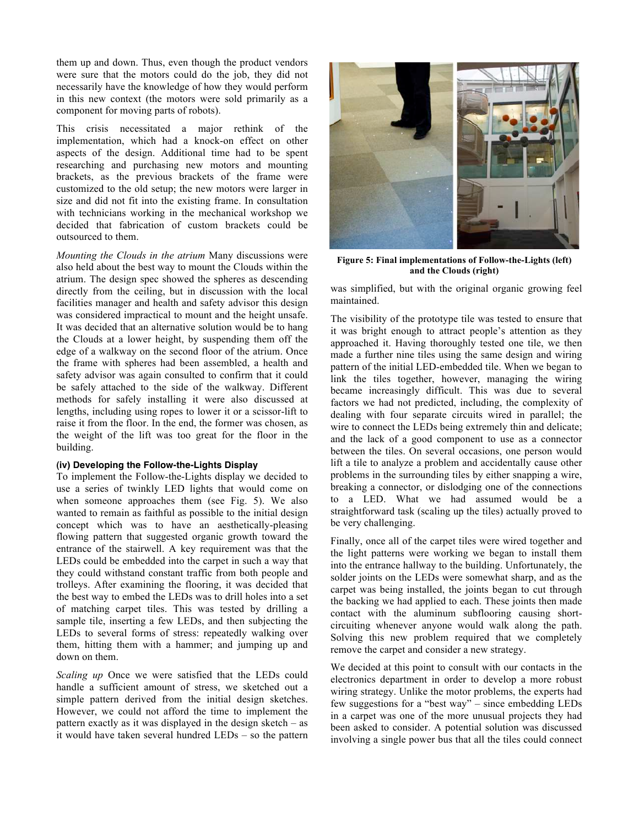them up and down. Thus, even though the product vendors were sure that the motors could do the job, they did not necessarily have the knowledge of how they would perform in this new context (the motors were sold primarily as a component for moving parts of robots).

This crisis necessitated a major rethink of the implementation, which had a knock-on effect on other aspects of the design. Additional time had to be spent researching and purchasing new motors and mounting brackets, as the previous brackets of the frame were customized to the old setup; the new motors were larger in size and did not fit into the existing frame. In consultation with technicians working in the mechanical workshop we decided that fabrication of custom brackets could be outsourced to them.

*Mounting the Clouds in the atrium* Many discussions were also held about the best way to mount the Clouds within the atrium. The design spec showed the spheres as descending directly from the ceiling, but in discussion with the local facilities manager and health and safety advisor this design was considered impractical to mount and the height unsafe. It was decided that an alternative solution would be to hang the Clouds at a lower height, by suspending them off the edge of a walkway on the second floor of the atrium. Once the frame with spheres had been assembled, a health and safety advisor was again consulted to confirm that it could be safely attached to the side of the walkway. Different methods for safely installing it were also discussed at lengths, including using ropes to lower it or a scissor-lift to raise it from the floor. In the end, the former was chosen, as the weight of the lift was too great for the floor in the building.

# **(iv) Developing the Follow-the-Lights Display**

To implement the Follow-the-Lights display we decided to use a series of twinkly LED lights that would come on when someone approaches them (see Fig. 5). We also wanted to remain as faithful as possible to the initial design concept which was to have an aesthetically-pleasing flowing pattern that suggested organic growth toward the entrance of the stairwell. A key requirement was that the LEDs could be embedded into the carpet in such a way that they could withstand constant traffic from both people and trolleys. After examining the flooring, it was decided that the best way to embed the LEDs was to drill holes into a set of matching carpet tiles. This was tested by drilling a sample tile, inserting a few LEDs, and then subjecting the LEDs to several forms of stress: repeatedly walking over them, hitting them with a hammer; and jumping up and down on them.

*Scaling up* Once we were satisfied that the LEDs could handle a sufficient amount of stress, we sketched out a simple pattern derived from the initial design sketches. However, we could not afford the time to implement the pattern exactly as it was displayed in the design sketch – as it would have taken several hundred LEDs – so the pattern



**Figure 5: Final implementations of Follow-the-Lights (left) and the Clouds (right)**

was simplified, but with the original organic growing feel maintained.

The visibility of the prototype tile was tested to ensure that it was bright enough to attract people's attention as they approached it. Having thoroughly tested one tile, we then made a further nine tiles using the same design and wiring pattern of the initial LED-embedded tile. When we began to link the tiles together, however, managing the wiring became increasingly difficult. This was due to several factors we had not predicted, including, the complexity of dealing with four separate circuits wired in parallel; the wire to connect the LEDs being extremely thin and delicate; and the lack of a good component to use as a connector between the tiles. On several occasions, one person would lift a tile to analyze a problem and accidentally cause other problems in the surrounding tiles by either snapping a wire, breaking a connector, or dislodging one of the connections to a LED. What we had assumed would be a straightforward task (scaling up the tiles) actually proved to be very challenging.

Finally, once all of the carpet tiles were wired together and the light patterns were working we began to install them into the entrance hallway to the building. Unfortunately, the solder joints on the LEDs were somewhat sharp, and as the carpet was being installed, the joints began to cut through the backing we had applied to each. These joints then made contact with the aluminum subflooring causing shortcircuiting whenever anyone would walk along the path. Solving this new problem required that we completely remove the carpet and consider a new strategy.

We decided at this point to consult with our contacts in the electronics department in order to develop a more robust wiring strategy. Unlike the motor problems, the experts had few suggestions for a "best way" – since embedding LEDs in a carpet was one of the more unusual projects they had been asked to consider. A potential solution was discussed involving a single power bus that all the tiles could connect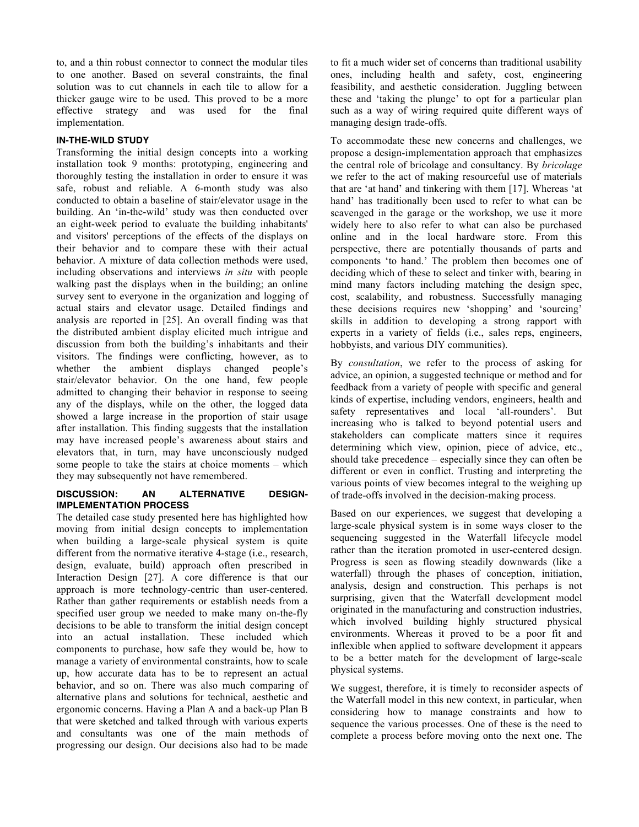to, and a thin robust connector to connect the modular tiles to one another. Based on several constraints, the final solution was to cut channels in each tile to allow for a thicker gauge wire to be used. This proved to be a more effective strategy and was used for the final implementation.

# **IN-THE-WILD STUDY**

Transforming the initial design concepts into a working installation took 9 months: prototyping, engineering and thoroughly testing the installation in order to ensure it was safe, robust and reliable. A 6-month study was also conducted to obtain a baseline of stair/elevator usage in the building. An 'in-the-wild' study was then conducted over an eight-week period to evaluate the building inhabitants' and visitors' perceptions of the effects of the displays on their behavior and to compare these with their actual behavior. A mixture of data collection methods were used, including observations and interviews *in situ* with people walking past the displays when in the building; an online survey sent to everyone in the organization and logging of actual stairs and elevator usage. Detailed findings and analysis are reported in [25]. An overall finding was that the distributed ambient display elicited much intrigue and discussion from both the building's inhabitants and their visitors. The findings were conflicting, however, as to whether the ambient displays changed people's stair/elevator behavior. On the one hand, few people admitted to changing their behavior in response to seeing any of the displays, while on the other, the logged data showed a large increase in the proportion of stair usage after installation. This finding suggests that the installation may have increased people's awareness about stairs and elevators that, in turn, may have unconsciously nudged some people to take the stairs at choice moments – which they may subsequently not have remembered.

#### **DISCUSSION: AN ALTERNATIVE DESIGN-IMPLEMENTATION PROCESS**

The detailed case study presented here has highlighted how moving from initial design concepts to implementation when building a large-scale physical system is quite different from the normative iterative 4-stage (i.e., research, design, evaluate, build) approach often prescribed in Interaction Design [27]. A core difference is that our approach is more technology-centric than user-centered. Rather than gather requirements or establish needs from a specified user group we needed to make many on-the-fly decisions to be able to transform the initial design concept into an actual installation. These included which components to purchase, how safe they would be, how to manage a variety of environmental constraints, how to scale up, how accurate data has to be to represent an actual behavior, and so on. There was also much comparing of alternative plans and solutions for technical, aesthetic and ergonomic concerns. Having a Plan A and a back-up Plan B that were sketched and talked through with various experts and consultants was one of the main methods of progressing our design. Our decisions also had to be made to fit a much wider set of concerns than traditional usability ones, including health and safety, cost, engineering feasibility, and aesthetic consideration. Juggling between these and 'taking the plunge' to opt for a particular plan such as a way of wiring required quite different ways of managing design trade-offs.

To accommodate these new concerns and challenges, we propose a design-implementation approach that emphasizes the central role of bricolage and consultancy. By *bricolage* we refer to the act of making resourceful use of materials that are 'at hand' and tinkering with them [17]. Whereas 'at hand' has traditionally been used to refer to what can be scavenged in the garage or the workshop, we use it more widely here to also refer to what can also be purchased online and in the local hardware store. From this perspective, there are potentially thousands of parts and components 'to hand.' The problem then becomes one of deciding which of these to select and tinker with, bearing in mind many factors including matching the design spec, cost, scalability, and robustness. Successfully managing these decisions requires new 'shopping' and 'sourcing' skills in addition to developing a strong rapport with experts in a variety of fields (i.e., sales reps, engineers, hobbyists, and various DIY communities).

By *consultation*, we refer to the process of asking for advice, an opinion, a suggested technique or method and for feedback from a variety of people with specific and general kinds of expertise, including vendors, engineers, health and safety representatives and local 'all-rounders'. But increasing who is talked to beyond potential users and stakeholders can complicate matters since it requires determining which view, opinion, piece of advice, etc., should take precedence – especially since they can often be different or even in conflict. Trusting and interpreting the various points of view becomes integral to the weighing up of trade-offs involved in the decision-making process.

Based on our experiences, we suggest that developing a large-scale physical system is in some ways closer to the sequencing suggested in the Waterfall lifecycle model rather than the iteration promoted in user-centered design. Progress is seen as flowing steadily downwards (like a waterfall) through the phases of conception, initiation, analysis, design and construction. This perhaps is not surprising, given that the Waterfall development model originated in the manufacturing and construction industries, which involved building highly structured physical environments. Whereas it proved to be a poor fit and inflexible when applied to software development it appears to be a better match for the development of large-scale physical systems.

We suggest, therefore, it is timely to reconsider aspects of the Waterfall model in this new context, in particular, when considering how to manage constraints and how to sequence the various processes. One of these is the need to complete a process before moving onto the next one. The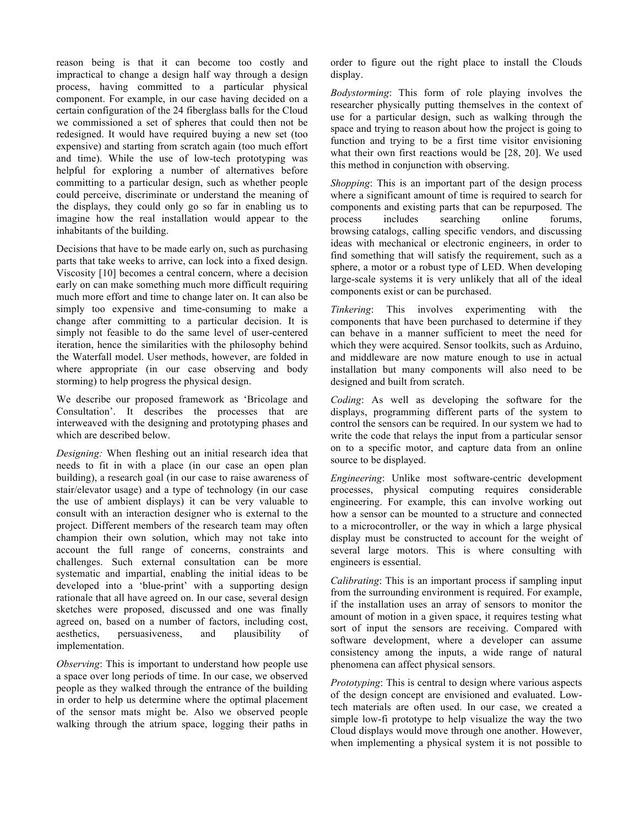reason being is that it can become too costly and impractical to change a design half way through a design process, having committed to a particular physical component. For example, in our case having decided on a certain configuration of the 24 fiberglass balls for the Cloud we commissioned a set of spheres that could then not be redesigned. It would have required buying a new set (too expensive) and starting from scratch again (too much effort and time). While the use of low-tech prototyping was helpful for exploring a number of alternatives before committing to a particular design, such as whether people could perceive, discriminate or understand the meaning of the displays, they could only go so far in enabling us to imagine how the real installation would appear to the inhabitants of the building.

Decisions that have to be made early on, such as purchasing parts that take weeks to arrive, can lock into a fixed design. Viscosity [10] becomes a central concern, where a decision early on can make something much more difficult requiring much more effort and time to change later on. It can also be simply too expensive and time-consuming to make a change after committing to a particular decision. It is simply not feasible to do the same level of user-centered iteration, hence the similarities with the philosophy behind the Waterfall model. User methods, however, are folded in where appropriate (in our case observing and body storming) to help progress the physical design.

We describe our proposed framework as 'Bricolage and Consultation'. It describes the processes that are interweaved with the designing and prototyping phases and which are described below.

*Designing:* When fleshing out an initial research idea that needs to fit in with a place (in our case an open plan building), a research goal (in our case to raise awareness of stair/elevator usage) and a type of technology (in our case the use of ambient displays) it can be very valuable to consult with an interaction designer who is external to the project. Different members of the research team may often champion their own solution, which may not take into account the full range of concerns, constraints and challenges. Such external consultation can be more systematic and impartial, enabling the initial ideas to be developed into a 'blue-print' with a supporting design rationale that all have agreed on. In our case, several design sketches were proposed, discussed and one was finally agreed on, based on a number of factors, including cost, aesthetics, persuasiveness, and plausibility of implementation.

*Observing*: This is important to understand how people use a space over long periods of time. In our case, we observed people as they walked through the entrance of the building in order to help us determine where the optimal placement of the sensor mats might be. Also we observed people walking through the atrium space, logging their paths in

order to figure out the right place to install the Clouds display.

*Bodystorming*: This form of role playing involves the researcher physically putting themselves in the context of use for a particular design, such as walking through the space and trying to reason about how the project is going to function and trying to be a first time visitor envisioning what their own first reactions would be [28, 20]. We used this method in conjunction with observing.

*Shopping*: This is an important part of the design process where a significant amount of time is required to search for components and existing parts that can be repurposed. The process includes searching online forums, browsing catalogs, calling specific vendors, and discussing ideas with mechanical or electronic engineers, in order to find something that will satisfy the requirement, such as a sphere, a motor or a robust type of LED. When developing large-scale systems it is very unlikely that all of the ideal components exist or can be purchased.

*Tinkering*: This involves experimenting with the components that have been purchased to determine if they can behave in a manner sufficient to meet the need for which they were acquired. Sensor toolkits, such as Arduino, and middleware are now mature enough to use in actual installation but many components will also need to be designed and built from scratch.

*Coding*: As well as developing the software for the displays, programming different parts of the system to control the sensors can be required. In our system we had to write the code that relays the input from a particular sensor on to a specific motor, and capture data from an online source to be displayed.

*Engineering*: Unlike most software-centric development processes, physical computing requires considerable engineering. For example, this can involve working out how a sensor can be mounted to a structure and connected to a microcontroller, or the way in which a large physical display must be constructed to account for the weight of several large motors. This is where consulting with engineers is essential.

*Calibrating*: This is an important process if sampling input from the surrounding environment is required. For example, if the installation uses an array of sensors to monitor the amount of motion in a given space, it requires testing what sort of input the sensors are receiving. Compared with software development, where a developer can assume consistency among the inputs, a wide range of natural phenomena can affect physical sensors.

*Prototyping*: This is central to design where various aspects of the design concept are envisioned and evaluated. Lowtech materials are often used. In our case, we created a simple low-fi prototype to help visualize the way the two Cloud displays would move through one another. However, when implementing a physical system it is not possible to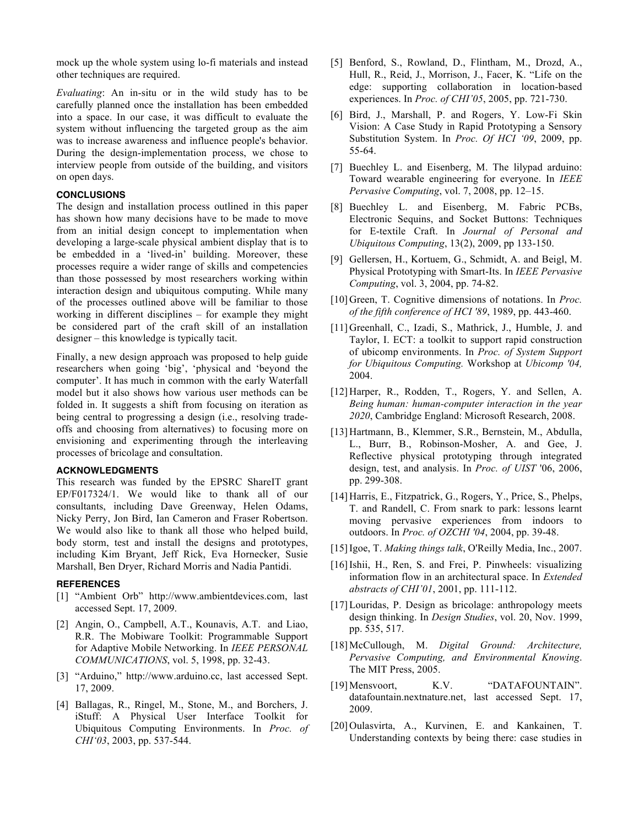mock up the whole system using lo-fi materials and instead other techniques are required.

*Evaluating*: An in-situ or in the wild study has to be carefully planned once the installation has been embedded into a space. In our case, it was difficult to evaluate the system without influencing the targeted group as the aim was to increase awareness and influence people's behavior. During the design-implementation process, we chose to interview people from outside of the building, and visitors on open days.

# **CONCLUSIONS**

The design and installation process outlined in this paper has shown how many decisions have to be made to move from an initial design concept to implementation when developing a large-scale physical ambient display that is to be embedded in a 'lived-in' building. Moreover, these processes require a wider range of skills and competencies than those possessed by most researchers working within interaction design and ubiquitous computing. While many of the processes outlined above will be familiar to those working in different disciplines – for example they might be considered part of the craft skill of an installation designer – this knowledge is typically tacit.

Finally, a new design approach was proposed to help guide researchers when going 'big', 'physical and 'beyond the computer'. It has much in common with the early Waterfall model but it also shows how various user methods can be folded in. It suggests a shift from focusing on iteration as being central to progressing a design (i.e., resolving tradeoffs and choosing from alternatives) to focusing more on envisioning and experimenting through the interleaving processes of bricolage and consultation.

#### **ACKNOWLEDGMENTS**

This research was funded by the EPSRC ShareIT grant EP/F017324/1. We would like to thank all of our consultants, including Dave Greenway, Helen Odams, Nicky Perry, Jon Bird, Ian Cameron and Fraser Robertson. We would also like to thank all those who helped build, body storm, test and install the designs and prototypes, including Kim Bryant, Jeff Rick, Eva Hornecker, Susie Marshall, Ben Dryer, Richard Morris and Nadia Pantidi.

#### **REFERENCES**

- [1] "Ambient Orb" http://www.ambientdevices.com, last accessed Sept. 17, 2009.
- [2] Angin, O., Campbell, A.T., Kounavis, A.T. and Liao, R.R. The Mobiware Toolkit: Programmable Support for Adaptive Mobile Networking. In *IEEE PERSONAL COMMUNICATIONS*, vol. 5, 1998, pp. 32-43.
- [3] "Arduino," http://www.arduino.cc, last accessed Sept. 17, 2009.
- [4] Ballagas, R., Ringel, M., Stone, M., and Borchers, J. iStuff: A Physical User Interface Toolkit for Ubiquitous Computing Environments. In *Proc. of CHI'03*, 2003, pp. 537-544.
- [5] Benford, S., Rowland, D., Flintham, M., Drozd, A., Hull, R., Reid, J., Morrison, J., Facer, K. "Life on the edge: supporting collaboration in location-based experiences. In *Proc. of CHI'05*, 2005, pp. 721-730.
- [6] Bird, J., Marshall, P. and Rogers, Y. Low-Fi Skin Vision: A Case Study in Rapid Prototyping a Sensory Substitution System. In *Proc. Of HCI '09*, 2009, pp. 55-64.
- [7] Buechley L. and Eisenberg, M. The lilypad arduino: Toward wearable engineering for everyone. In *IEEE Pervasive Computing*, vol. 7, 2008, pp. 12–15.
- [8] Buechley L. and Eisenberg, M. Fabric PCBs, Electronic Sequins, and Socket Buttons: Techniques for E-textile Craft. In *Journal of Personal and Ubiquitous Computing*, 13(2), 2009, pp 133-150.
- [9] Gellersen, H., Kortuem, G., Schmidt, A. and Beigl, M. Physical Prototyping with Smart-Its. In *IEEE Pervasive Computing*, vol. 3, 2004, pp. 74-82.
- [10]Green, T. Cognitive dimensions of notations. In *Proc. of the fifth conference of HCI '89*, 1989, pp. 443-460.
- [11]Greenhall, C., Izadi, S., Mathrick, J., Humble, J. and Taylor, I. ECT: a toolkit to support rapid construction of ubicomp environments. In *Proc. of System Support for Ubiquitous Computing.* Workshop at *Ubicomp '04,* 2004.
- [12]Harper, R., Rodden, T., Rogers, Y. and Sellen, A. *Being human: human-computer interaction in the year 2020*, Cambridge England: Microsoft Research, 2008.
- [13]Hartmann, B., Klemmer, S.R., Bernstein, M., Abdulla, L., Burr, B., Robinson-Mosher, A. and Gee, J. Reflective physical prototyping through integrated design, test, and analysis. In *Proc. of UIST* '06, 2006, pp. 299-308.
- [14] Harris, E., Fitzpatrick, G., Rogers, Y., Price, S., Phelps, T. and Randell, C. From snark to park: lessons learnt moving pervasive experiences from indoors to outdoors. In *Proc. of OZCHI '04*, 2004, pp. 39-48.
- [15]Igoe, T. *Making things talk*, O'Reilly Media, Inc., 2007.
- [16] Ishii, H., Ren, S. and Frei, P. Pinwheels: visualizing information flow in an architectural space. In *Extended abstracts of CHI'01*, 2001, pp. 111-112.
- [17] Louridas, P. Design as bricolage: anthropology meets design thinking. In *Design Studies*, vol. 20, Nov. 1999, pp. 535, 517.
- [18]McCullough, M. *Digital Ground: Architecture, Pervasive Computing, and Environmental Knowing*. The MIT Press, 2005.
- [19]Mensvoort, K.V. "DATAFOUNTAIN". datafountain.nextnature.net, last accessed Sept. 17, 2009.
- [20]Oulasvirta, A., Kurvinen, E. and Kankainen, T. Understanding contexts by being there: case studies in